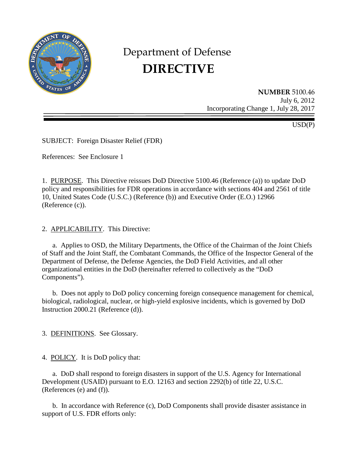

# Department of Defense **DIRECTIVE**

**NUMBER** 5100.46 July 6, 2012 Incorporating Change 1, July 28, 2017

USD(P)

SUBJECT: Foreign Disaster Relief (FDR)

References: See Enclosure 1

1. PURPOSE. This Directive reissues DoD Directive 5100.46 (Reference (a)) to update DoD policy and responsibilities for FDR operations in accordance with sections 404 and 2561 of title 10, United States Code (U.S.C.) (Reference (b)) and Executive Order (E.O.) 12966 (Reference (c)).

2. APPLICABILITY. This Directive:

a. Applies to OSD, the Military Departments, the Office of the Chairman of the Joint Chiefs of Staff and the Joint Staff, the Combatant Commands, the Office of the Inspector General of the Department of Defense, the Defense Agencies, the DoD Field Activities, and all other organizational entities in the DoD (hereinafter referred to collectively as the "DoD Components").

 b. Does not apply to DoD policy concerning foreign consequence management for chemical, biological, radiological, nuclear, or high-yield explosive incidents, which is governed by DoD Instruction 2000.21 (Reference (d)).

3. DEFINITIONS. See Glossary.

4. POLICY. It is DoD policy that:

a. DoD shall respond to foreign disasters in support of the U.S. Agency for International Development (USAID) pursuant to E.O. 12163 and section 2292(b) of title 22, U.S.C. (References (e) and (f)).

 b. In accordance with Reference (c), DoD Components shall provide disaster assistance in support of U.S. FDR efforts only: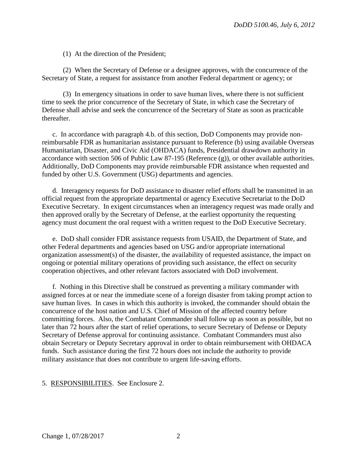(1) At the direction of the President;

 (2) When the Secretary of Defense or a designee approves, with the concurrence of the Secretary of State, a request for assistance from another Federal department or agency; or

 (3) In emergency situations in order to save human lives, where there is not sufficient time to seek the prior concurrence of the Secretary of State, in which case the Secretary of Defense shall advise and seek the concurrence of the Secretary of State as soon as practicable thereafter.

 c. In accordance with paragraph 4.b. of this section, DoD Components may provide nonreimbursable FDR as humanitarian assistance pursuant to Reference (b) using available Overseas Humanitarian, Disaster, and Civic Aid (OHDACA) funds, Presidential drawdown authority in accordance with section 506 of Public Law 87-195 (Reference (g)), or other available authorities. Additionally, DoD Components may provide reimbursable FDR assistance when requested and funded by other U.S. Government (USG) departments and agencies.

 d. Interagency requests for DoD assistance to disaster relief efforts shall be transmitted in an official request from the appropriate departmental or agency Executive Secretariat to the DoD Executive Secretary. In exigent circumstances when an interagency request was made orally and then approved orally by the Secretary of Defense, at the earliest opportunity the requesting agency must document the oral request with a written request to the DoD Executive Secretary.

 e. DoD shall consider FDR assistance requests from USAID, the Department of State, and other Federal departments and agencies based on USG and/or appropriate international organization assessment(s) of the disaster, the availability of requested assistance, the impact on ongoing or potential military operations of providing such assistance, the effect on security cooperation objectives, and other relevant factors associated with DoD involvement.

 f. Nothing in this Directive shall be construed as preventing a military commander with assigned forces at or near the immediate scene of a foreign disaster from taking prompt action to save human lives. In cases in which this authority is invoked, the commander should obtain the concurrence of the host nation and U.S. Chief of Mission of the affected country before committing forces. Also, the Combatant Commander shall follow up as soon as possible, but no later than 72 hours after the start of relief operations, to secure Secretary of Defense or Deputy Secretary of Defense approval for continuing assistance. Combatant Commanders must also obtain Secretary or Deputy Secretary approval in order to obtain reimbursement with OHDACA funds. Such assistance during the first 72 hours does not include the authority to provide military assistance that does not contribute to urgent life-saving efforts.

#### 5. RESPONSIBILITIES. See Enclosure 2.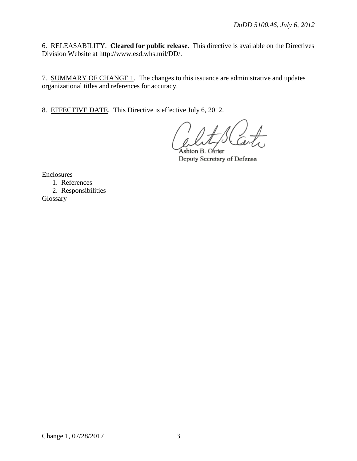6. RELEASABILITY. **Cleared for public release.** This directive is available on the Directives Division Website at http://www.esd.whs.mil/DD/.

7. SUMMARY OF CHANGE 1. The changes to this issuance are administrative and updates organizational titles and references for accuracy.

8. EFFECTIVE DATE. This Directive is effective July 6, 2012.

Ashton B. Carter Deputy Secretary of Defense

Enclosures

 1. References 2. Responsibilities Glossary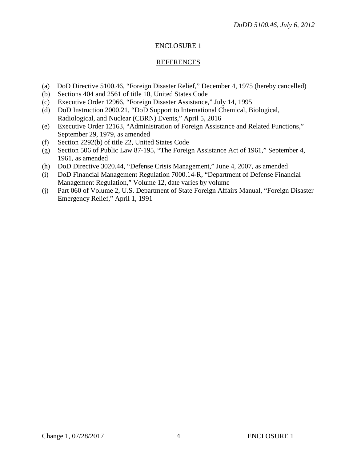## ENCLOSURE 1

## REFERENCES

- (a) DoD Directive 5100.46, "Foreign Disaster Relief," December 4, 1975 (hereby cancelled)
- (b) Sections 404 and 2561 of title 10, United States Code
- (c) Executive Order 12966, "Foreign Disaster Assistance," July 14, 1995
- (d) DoD Instruction 2000.21, "DoD Support to International Chemical, Biological, Radiological, and Nuclear (CBRN) Events," April 5, 2016
- (e) Executive Order 12163, "Administration of Foreign Assistance and Related Functions," September 29, 1979, as amended
- (f) Section 2292(b) of title 22, United States Code
- (g) Section 506 of Public Law 87-195, "The Foreign Assistance Act of 1961," September 4, 1961, as amended
- (h) DoD Directive 3020.44, "Defense Crisis Management," June 4, 2007, as amended
- (i) DoD Financial Management Regulation 7000.14-R, "Department of Defense Financial Management Regulation," Volume 12, date varies by volume
- (j) Part 060 of Volume 2, U.S. Department of State Foreign Affairs Manual, "Foreign Disaster Emergency Relief," April 1, 1991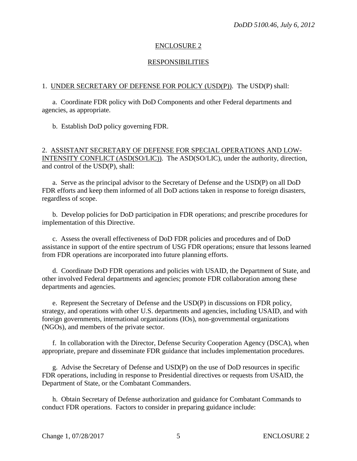## ENCLOSURE 2

## RESPONSIBILITIES

### 1. UNDER SECRETARY OF DEFENSE FOR POLICY (USD(P)). The USD(P) shall:

a. Coordinate FDR policy with DoD Components and other Federal departments and agencies, as appropriate.

b. Establish DoD policy governing FDR.

## 2. ASSISTANT SECRETARY OF DEFENSE FOR SPECIAL OPERATIONS AND LOW-INTENSITY CONFLICT (ASD(SO/LIC)). The ASD(SO/LIC), under the authority, direction, and control of the USD(P), shall:

a. Serve as the principal advisor to the Secretary of Defense and the USD(P) on all DoD FDR efforts and keep them informed of all DoD actions taken in response to foreign disasters, regardless of scope.

 b. Develop policies for DoD participation in FDR operations; and prescribe procedures for implementation of this Directive.

c. Assess the overall effectiveness of DoD FDR policies and procedures and of DoD assistance in support of the entire spectrum of USG FDR operations; ensure that lessons learned from FDR operations are incorporated into future planning efforts.

 d. Coordinate DoD FDR operations and policies with USAID, the Department of State, and other involved Federal departments and agencies; promote FDR collaboration among these departments and agencies.

e. Represent the Secretary of Defense and the USD(P) in discussions on FDR policy, strategy, and operations with other U.S. departments and agencies, including USAID, and with foreign governments, international organizations (IOs), non-governmental organizations (NGOs), and members of the private sector.

f. In collaboration with the Director, Defense Security Cooperation Agency (DSCA), when appropriate, prepare and disseminate FDR guidance that includes implementation procedures.

g. Advise the Secretary of Defense and USD(P) on the use of DoD resources in specific FDR operations, including in response to Presidential directives or requests from USAID, the Department of State, or the Combatant Commanders.

h. Obtain Secretary of Defense authorization and guidance for Combatant Commands to conduct FDR operations. Factors to consider in preparing guidance include: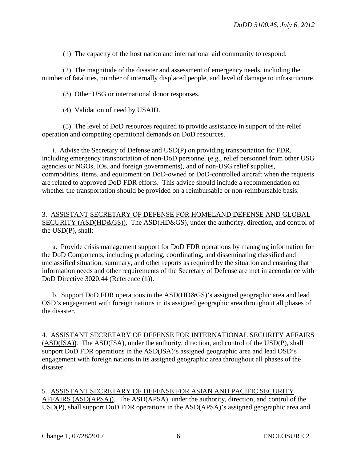(1) The capacity of the host nation and international aid community to respond.

(2) The magnitude of the disaster and assessment of emergency needs, including the number of fatalities, number of internally displaced people, and level of damage to infrastructure.

(3) Other USG or international donor responses.

(4) Validation of need by USAID.

(5) The level of DoD resources required to provide assistance in support of the relief operation and competing operational demands on DoD resources.

 i. Advise the Secretary of Defense and USD(P) on providing transportation for FDR, including emergency transportation of non-DoD personnel (e.g., relief personnel from other USG agencies or NGOs, IOs, and foreign governments), and of non-USG relief supplies, commodities, items, and equipment on DoD-owned or DoD-controlled aircraft when the requests are related to approved DoD FDR efforts. This advice should include a recommendation on whether the transportation should be provided on a reimbursable or non-reimbursable basis.

## 3. ASSISTANT SECRETARY OF DEFENSE FOR HOMELAND DEFENSE AND GLOBAL SECURITY (ASD(HD&GS)). The ASD(HD&GS), under the authority, direction, and control of the USD(P), shall:

a. Provide crisis management support for DoD FDR operations by managing information for the DoD Components, including producing, coordinating, and disseminating classified and unclassified situation, summary, and other reports as required by the situation and ensuring that information needs and other requirements of the Secretary of Defense are met in accordance with DoD Directive 3020.44 (Reference (h)).

b. Support DoD FDR operations in the ASD(HD&GS)'s assigned geographic area and lead OSD's engagement with foreign nations in its assigned geographic area throughout all phases of the disaster.

4. ASSISTANT SECRETARY OF DEFENSE FOR INTERNATIONAL SECURITY AFFAIRS (ASD(ISA)). The ASD(ISA), under the authority, direction, and control of the USD(P), shall support DoD FDR operations in the ASD(ISA)'s assigned geographic area and lead OSD's engagement with foreign nations in its assigned geographic area throughout all phases of the disaster.

5. ASSISTANT SECRETARY OF DEFENSE FOR ASIAN AND PACIFIC SECURITY AFFAIRS (ASD(APSA)). The ASD(APSA), under the authority, direction, and control of the USD(P), shall support DoD FDR operations in the ASD(APSA)'s assigned geographic area and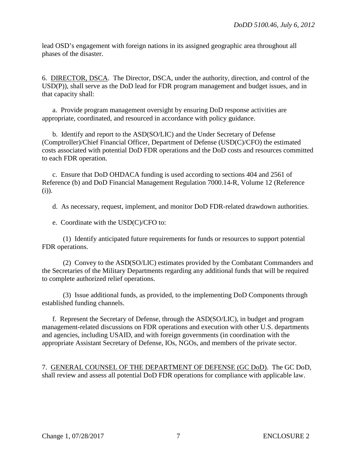lead OSD's engagement with foreign nations in its assigned geographic area throughout all phases of the disaster.

6. DIRECTOR, DSCA. The Director, DSCA, under the authority, direction, and control of the USD(P)), shall serve as the DoD lead for FDR program management and budget issues, and in that capacity shall:

a. Provide program management oversight by ensuring DoD response activities are appropriate, coordinated, and resourced in accordance with policy guidance.

 b. Identify and report to the ASD(SO/LIC) and the Under Secretary of Defense [\(Comptroller\)/Chief Financial Officer,](http://www.defenselink.mil/comptroller/) Department of Defense (USD(C)/CFO) the estimated costs associated with potential DoD FDR operations and the DoD costs and resources committed to each FDR operation.

c. Ensure that DoD OHDACA funding is used according to sections 404 and 2561 of Reference (b) and DoD Financial Management Regulation 7000.14-R, Volume 12 (Reference (i)).

d. As necessary, request, implement, and monitor DoD FDR-related drawdown authorities.

e. Coordinate with the USD(C)/CFO to:

 (1) Identify anticipated future requirements for funds or resources to support potential FDR operations.

 (2) Convey to the ASD(SO/LIC) estimates provided by the Combatant Commanders and the Secretaries of the Military Departments regarding any additional funds that will be required to complete authorized relief operations.

 (3) Issue additional funds, as provided, to the implementing DoD Components through established funding channels.

f. Represent the Secretary of Defense, through the ASD(SO/LIC), in budget and program management-related discussions on FDR operations and execution with other U.S. departments and agencies, including USAID, and with foreign governments (in coordination with the appropriate Assistant Secretary of Defense, IOs, NGOs, and members of the private sector.

7. GENERAL COUNSEL OF THE DEPARTMENT OF DEFENSE (GC DoD). The GC DoD, shall review and assess all potential DoD FDR operations for compliance with applicable law.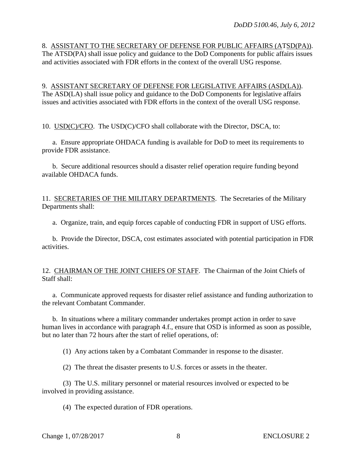8. ASSISTANT TO THE SECRETARY OF DEFENSE FOR PUBLIC AFFAIRS (ATSD(PA)). The ATSD(PA) shall issue policy and guidance to the DoD Components for public affairs issues and activities associated with FDR efforts in the context of the overall USG response.

9. ASSISTANT SECRETARY OF DEFENSE FOR LEGISLATIVE AFFAIRS (ASD(LA)). The ASD(LA) shall issue policy and guidance to the DoD Components for legislative affairs issues and activities associated with FDR efforts in the context of the overall USG response.

10. USD(C)/CFO. The USD(C)/CFO shall collaborate with the Director, DSCA, to:

a. Ensure appropriate OHDACA funding is available for DoD to meet its requirements to provide FDR assistance.

 b. Secure additional resources should a disaster relief operation require funding beyond available OHDACA funds.

11. SECRETARIES OF THE MILITARY DEPARTMENTS. The Secretaries of the Military Departments shall:

a. Organize, train, and equip forces capable of conducting FDR in support of USG efforts.

 b. Provide the Director, DSCA, cost estimates associated with potential participation in FDR activities.

12. CHAIRMAN OF THE JOINT CHIEFS OF STAFF. The Chairman of the Joint Chiefs of Staff shall:

a. Communicate approved requests for disaster relief assistance and funding authorization to the relevant Combatant Commander.

 b. In situations where a military commander undertakes prompt action in order to save human lives in accordance with paragraph 4.f., ensure that OSD is informed as soon as possible, but no later than 72 hours after the start of relief operations, of:

(1) Any actions taken by a Combatant Commander in response to the disaster.

(2) The threat the disaster presents to U.S. forces or assets in the theater.

 (3) The U.S. military personnel or material resources involved or expected to be involved in providing assistance.

(4) The expected duration of FDR operations.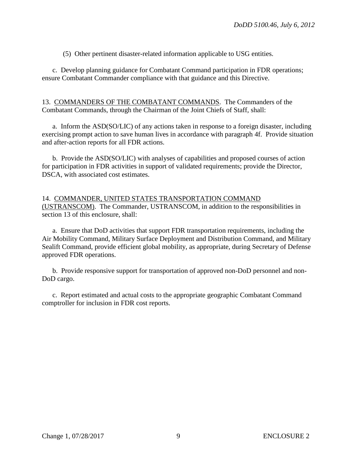(5) Other pertinent disaster-related information applicable to USG entities.

c. Develop planning guidance for Combatant Command participation in FDR operations; ensure Combatant Commander compliance with that guidance and this Directive.

13. COMMANDERS OF THE COMBATANT COMMANDS. The Commanders of the Combatant Commands, through the Chairman of the Joint Chiefs of Staff, shall:

a. Inform the ASD(SO/LIC) of any actions taken in response to a foreign disaster, including exercising prompt action to save human lives in accordance with paragraph 4f. Provide situation and after-action reports for all FDR actions.

 b. Provide the ASD(SO/LIC) with analyses of capabilities and proposed courses of action for participation in FDR activities in support of validated requirements; provide the Director, DSCA, with associated cost estimates.

14. COMMANDER, UNITED STATES TRANSPORTATION COMMAND (USTRANSCOM). The Commander, USTRANSCOM, in addition to the responsibilities in section 13 of this enclosure, shall:

 a. Ensure that DoD activities that support FDR transportation requirements, including the Air Mobility Command, Military Surface Deployment and Distribution Command, and Military Sealift Command, provide efficient global mobility, as appropriate, during Secretary of Defense approved FDR operations.

 b. Provide responsive support for transportation of approved non-DoD personnel and non-DoD cargo.

c. Report estimated and actual costs to the appropriate geographic Combatant Command comptroller for inclusion in FDR cost reports.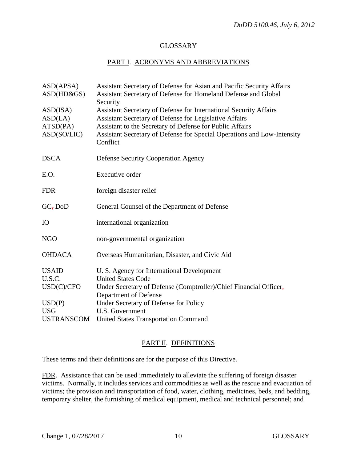## GLOSSARY

## PART I. ACRONYMS AND ABBREVIATIONS

| ASD(APSA)<br>ASD(HD&GS)                        | Assistant Secretary of Defense for Asian and Pacific Security Affairs<br>Assistant Secretary of Defense for Homeland Defense and Global<br>Security                                                                                                                            |
|------------------------------------------------|--------------------------------------------------------------------------------------------------------------------------------------------------------------------------------------------------------------------------------------------------------------------------------|
| ASD(ISA)<br>ASD(LA)<br>ATSD(PA)<br>ASD(SO/LIC) | Assistant Secretary of Defense for International Security Affairs<br>Assistant Secretary of Defense for Legislative Affairs<br>Assistant to the Secretary of Defense for Public Affairs<br>Assistant Secretary of Defense for Special Operations and Low-Intensity<br>Conflict |
| <b>DSCA</b>                                    | <b>Defense Security Cooperation Agency</b>                                                                                                                                                                                                                                     |
| E.O.                                           | <b>Executive order</b>                                                                                                                                                                                                                                                         |
| <b>FDR</b>                                     | foreign disaster relief                                                                                                                                                                                                                                                        |
| GC <sub>7</sub> DoD                            | General Counsel of the Department of Defense                                                                                                                                                                                                                                   |
| <b>IO</b>                                      | international organization                                                                                                                                                                                                                                                     |
| <b>NGO</b>                                     | non-governmental organization                                                                                                                                                                                                                                                  |
| <b>OHDACA</b>                                  | Overseas Humanitarian, Disaster, and Civic Aid                                                                                                                                                                                                                                 |
| <b>USAID</b><br>U.S.C.                         | U. S. Agency for International Development<br><b>United States Code</b>                                                                                                                                                                                                        |
| USD(C)/CFO                                     | Under Secretary of Defense (Comptroller)/Chief Financial Officer,<br>Department of Defense                                                                                                                                                                                     |
| USD(P)<br><b>USG</b>                           | Under Secretary of Defense for Policy<br>U.S. Government                                                                                                                                                                                                                       |
| <b>USTRANSCOM</b>                              | <b>United States Transportation Command</b>                                                                                                                                                                                                                                    |

## PART II. DEFINITIONS

These terms and their definitions are for the purpose of this Directive.

FDR. Assistance that can be used immediately to alleviate the suffering of foreign disaster victims. Normally, it includes services and commodities as well as the rescue and evacuation of victims; the provision and transportation of food, water, clothing, medicines, beds, and bedding, temporary shelter, the furnishing of medical equipment, medical and technical personnel; and